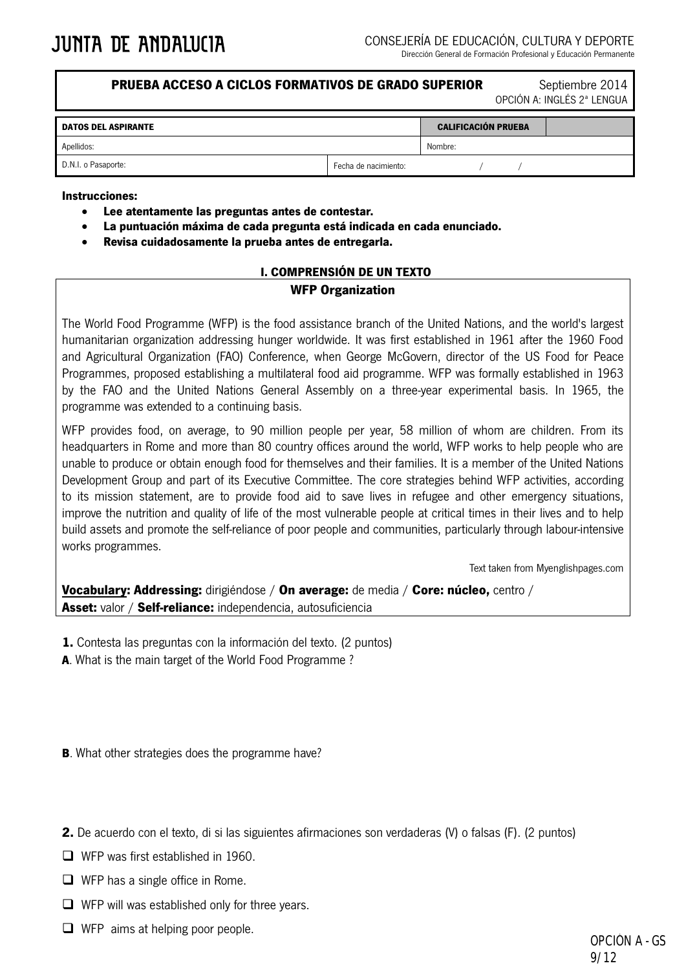**PRUEBA ACCESO A CICLOS FORMATIVOS DE GRADO SUPERIOR Septiembre 2014** 

OPCIÓN A: INGLÉS 2ª LENGUA

| <b>DATOS DEL ASPIRANTE</b> |                      | <b>CALIFICACIÓN PRUEBA</b> |  |  |
|----------------------------|----------------------|----------------------------|--|--|
| Apellidos:                 |                      | Nombre:                    |  |  |
| D.N.I. o Pasaporte:        | Fecha de nacimiento: |                            |  |  |

#### **Instrucciones:**

- **Lee atentamente las preguntas antes de contestar.**
- **La puntuación máxima de cada pregunta está indicada en cada enunciado.**
- **Revisa cuidadosamente la prueba antes de entregarla.**

## **I. COMPRENSIÓN DE UN TEXTO**

### **WFP Organization**

The World Food Programme (WFP) is the food assistance branch of the United Nations, and the world's largest humanitarian organization addressing hunger worldwide. It was first established in 1961 after the 1960 Food and Agricultural Organization (FAO) Conference, when George McGovern, director of the US Food for Peace Programmes, proposed establishing a multilateral food aid programme. WFP was formally established in 1963 by the FAO and the United Nations General Assembly on a three-year experimental basis. In 1965, the programme was extended to a continuing basis.

WFP provides food, on average, to 90 million people per year, 58 million of whom are children. From its headquarters in Rome and more than 80 country offices around the world, WFP works to help people who are unable to produce or obtain enough food for themselves and their families. It is a member of the United Nations Development Group and part of its Executive Committee. The core strategies behind WFP activities, according to its mission statement, are to provide food aid to save lives in refugee and other emergency situations, improve the nutrition and quality of life of the most vulnerable people at critical times in their lives and to help build assets and promote the self-reliance of poor people and communities, particularly through labour-intensive works programmes.

Text taken from Myenglishpages.com

**Vocabulary: Addressing:** dirigiéndose / **On average:** de media / **Core: núcleo,** centro / **Asset:** valor / **Self-reliance:** independencia, autosuficiencia

**1.** Contesta las preguntas con la información del texto. (2 puntos)

**A**. What is the main target of the World Food Programme ?

**B**. What other strategies does the programme have?

- **2.** De acuerdo con el texto, di si las siguientes afirmaciones son verdaderas (V) o falsas (F). (2 puntos)
- $\Box$  WFP was first established in 1960.
- $\Box$  WFP has a single office in Rome.
- $\Box$  WFP will was established only for three years.
- $\Box$  WFP aims at helping poor people.